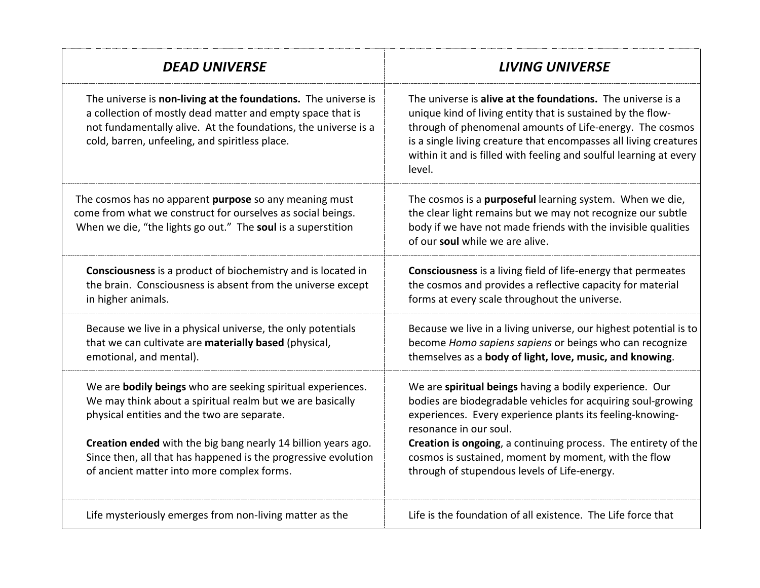| <b>DEAD UNIVERSE</b>                                                                                                                                                                                                                                                                                                                                     | <b>LIVING UNIVERSE</b>                                                                                                                                                                                                                                                                                                                                                                   |
|----------------------------------------------------------------------------------------------------------------------------------------------------------------------------------------------------------------------------------------------------------------------------------------------------------------------------------------------------------|------------------------------------------------------------------------------------------------------------------------------------------------------------------------------------------------------------------------------------------------------------------------------------------------------------------------------------------------------------------------------------------|
| The universe is non-living at the foundations. The universe is<br>a collection of mostly dead matter and empty space that is<br>not fundamentally alive. At the foundations, the universe is a<br>cold, barren, unfeeling, and spiritless place.                                                                                                         | The universe is alive at the foundations. The universe is a<br>unique kind of living entity that is sustained by the flow-<br>through of phenomenal amounts of Life-energy. The cosmos<br>is a single living creature that encompasses all living creatures<br>within it and is filled with feeling and soulful learning at every<br>level.                                              |
| The cosmos has no apparent purpose so any meaning must<br>come from what we construct for ourselves as social beings.<br>When we die, "the lights go out." The soul is a superstition                                                                                                                                                                    | The cosmos is a purposeful learning system. When we die,<br>the clear light remains but we may not recognize our subtle<br>body if we have not made friends with the invisible qualities<br>of our soul while we are alive.                                                                                                                                                              |
| Consciousness is a product of biochemistry and is located in<br>the brain. Consciousness is absent from the universe except<br>in higher animals.                                                                                                                                                                                                        | <b>Consciousness</b> is a living field of life-energy that permeates<br>the cosmos and provides a reflective capacity for material<br>forms at every scale throughout the universe.                                                                                                                                                                                                      |
| Because we live in a physical universe, the only potentials<br>that we can cultivate are materially based (physical,<br>emotional, and mental).                                                                                                                                                                                                          | Because we live in a living universe, our highest potential is to<br>become Homo sapiens sapiens or beings who can recognize<br>themselves as a body of light, love, music, and knowing.                                                                                                                                                                                                 |
| We are bodily beings who are seeking spiritual experiences.<br>We may think about a spiritual realm but we are basically<br>physical entities and the two are separate.<br>Creation ended with the big bang nearly 14 billion years ago.<br>Since then, all that has happened is the progressive evolution<br>of ancient matter into more complex forms. | We are spiritual beings having a bodily experience. Our<br>bodies are biodegradable vehicles for acquiring soul-growing<br>experiences. Every experience plants its feeling-knowing-<br>resonance in our soul.<br>Creation is ongoing, a continuing process. The entirety of the<br>cosmos is sustained, moment by moment, with the flow<br>through of stupendous levels of Life-energy. |
| Life mysteriously emerges from non-living matter as the                                                                                                                                                                                                                                                                                                  | Life is the foundation of all existence. The Life force that                                                                                                                                                                                                                                                                                                                             |